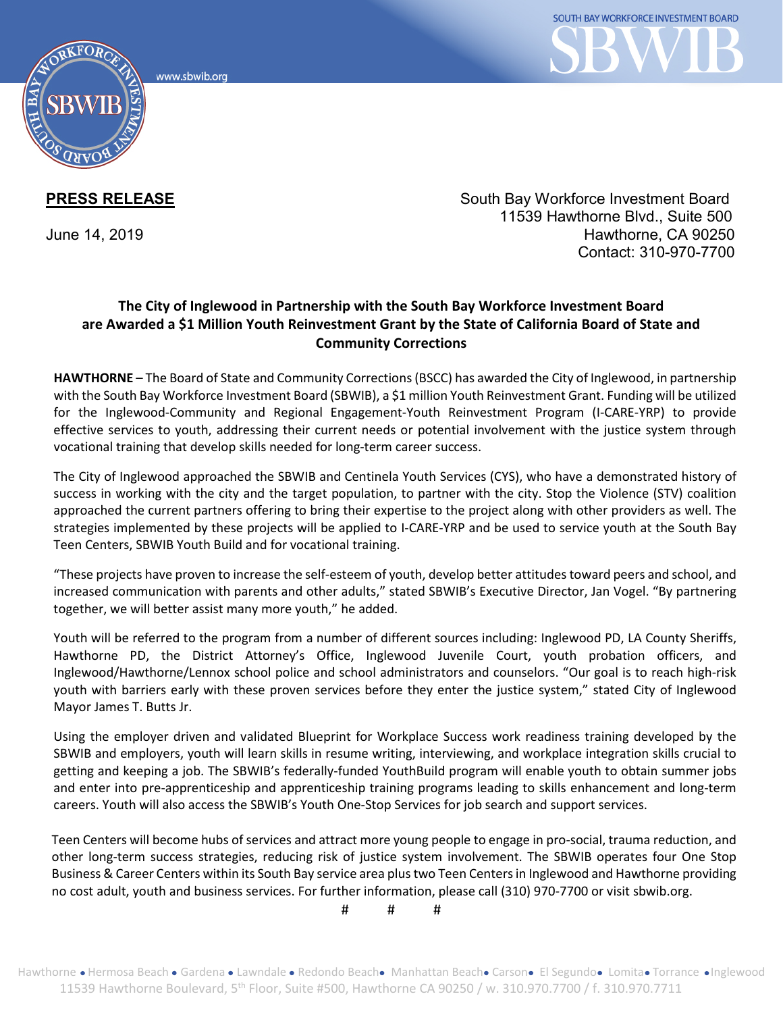www.sbwib.orc



**PRESS RELEASE** The South Bay Workforce Investment Board 11539 Hawthorne Blvd., Suite 500 June 14, 2019 Hawthorne, CA 90250 Contact: 310-970-7700

## **The City of Inglewood in Partnership with the South Bay Workforce Investment Board are Awarded a \$1 Million Youth Reinvestment Grant by the State of California Board of State and Community Corrections**

**HAWTHORNE** – The Board of State and Community Corrections (BSCC) has awarded the City of Inglewood, in partnership with the South Bay Workforce Investment Board (SBWIB), a \$1 million Youth Reinvestment Grant. Funding will be utilized for the Inglewood-Community and Regional Engagement-Youth Reinvestment Program (I-CARE-YRP) to provide effective services to youth, addressing their current needs or potential involvement with the justice system through vocational training that develop skills needed for long-term career success.

The City of Inglewood approached the SBWIB and Centinela Youth Services (CYS), who have a demonstrated history of success in working with the city and the target population, to partner with the city. Stop the Violence (STV) coalition approached the current partners offering to bring their expertise to the project along with other providers as well. The strategies implemented by these projects will be applied to I-CARE-YRP and be used to service youth at the South Bay Teen Centers, SBWIB Youth Build and for vocational training.

"These projects have proven to increase the self-esteem of youth, develop better attitudes toward peers and school, and increased communication with parents and other adults," stated SBWIB's Executive Director, Jan Vogel. "By partnering together, we will better assist many more youth," he added.

Youth will be referred to the program from a number of different sources including: Inglewood PD, LA County Sheriffs, Hawthorne PD, the District Attorney's Office, Inglewood Juvenile Court, youth probation officers, and Inglewood/Hawthorne/Lennox school police and school administrators and counselors. "Our goal is to reach high-risk youth with barriers early with these proven services before they enter the justice system," stated City of Inglewood Mayor James T. Butts Jr.

Using the employer driven and validated Blueprint for Workplace Success work readiness training developed by the SBWIB and employers, youth will learn skills in resume writing, interviewing, and workplace integration skills crucial to getting and keeping a job. The SBWIB's federally-funded YouthBuild program will enable youth to obtain summer jobs and enter into pre-apprenticeship and apprenticeship training programs leading to skills enhancement and long-term careers. Youth will also access the SBWIB's Youth One-Stop Services for job search and support services.

Teen Centers will become hubs of services and attract more young people to engage in pro-social, trauma reduction, and other long-term success strategies, reducing risk of justice system involvement. The SBWIB operates four One Stop Business & Career Centers within its South Bay service area plus two Teen Centers in Inglewood and Hawthorne providing no cost adult, youth and business services. For further information, please call (310) 970-7700 or visit sbwib.org.

# # #